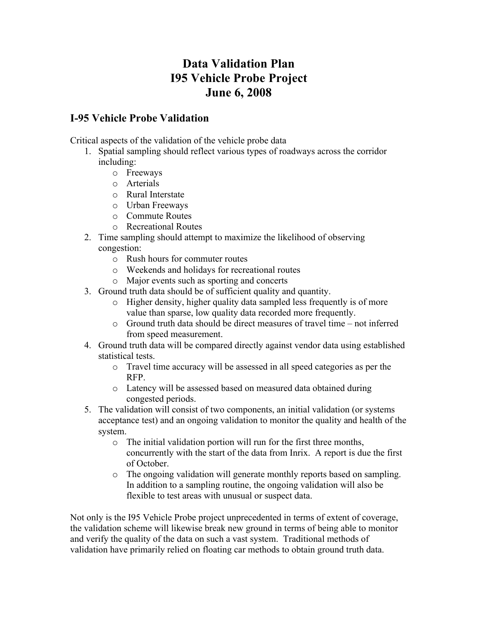## **Data Validation Plan I95 Vehicle Probe Project June 6, 2008**

## **I-95 Vehicle Probe Validation**

Critical aspects of the validation of the vehicle probe data

- 1. Spatial sampling should reflect various types of roadways across the corridor including:
	- o Freeways
	- o Arterials
	- o Rural Interstate
	- o Urban Freeways
	- o Commute Routes
	- o Recreational Routes
- 2. Time sampling should attempt to maximize the likelihood of observing congestion:
	- o Rush hours for commuter routes
	- o Weekends and holidays for recreational routes
	- o Major events such as sporting and concerts
- 3. Ground truth data should be of sufficient quality and quantity.
	- o Higher density, higher quality data sampled less frequently is of more value than sparse, low quality data recorded more frequently.
	- o Ground truth data should be direct measures of travel time not inferred from speed measurement.
- 4. Ground truth data will be compared directly against vendor data using established statistical tests.
	- o Travel time accuracy will be assessed in all speed categories as per the RFP.
	- o Latency will be assessed based on measured data obtained during congested periods.
- 5. The validation will consist of two components, an initial validation (or systems acceptance test) and an ongoing validation to monitor the quality and health of the system.
	- o The initial validation portion will run for the first three months, concurrently with the start of the data from Inrix. A report is due the first of October.
	- o The ongoing validation will generate monthly reports based on sampling. In addition to a sampling routine, the ongoing validation will also be flexible to test areas with unusual or suspect data.

Not only is the I95 Vehicle Probe project unprecedented in terms of extent of coverage, the validation scheme will likewise break new ground in terms of being able to monitor and verify the quality of the data on such a vast system. Traditional methods of validation have primarily relied on floating car methods to obtain ground truth data.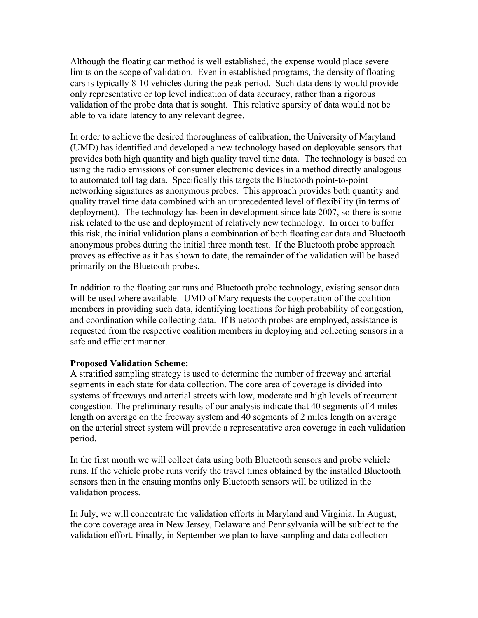Although the floating car method is well established, the expense would place severe limits on the scope of validation. Even in established programs, the density of floating cars is typically 8-10 vehicles during the peak period. Such data density would provide only representative or top level indication of data accuracy, rather than a rigorous validation of the probe data that is sought. This relative sparsity of data would not be able to validate latency to any relevant degree.

In order to achieve the desired thoroughness of calibration, the University of Maryland (UMD) has identified and developed a new technology based on deployable sensors that provides both high quantity and high quality travel time data. The technology is based on using the radio emissions of consumer electronic devices in a method directly analogous to automated toll tag data. Specifically this targets the Bluetooth point-to-point networking signatures as anonymous probes. This approach provides both quantity and quality travel time data combined with an unprecedented level of flexibility (in terms of deployment). The technology has been in development since late 2007, so there is some risk related to the use and deployment of relatively new technology. In order to buffer this risk, the initial validation plans a combination of both floating car data and Bluetooth anonymous probes during the initial three month test. If the Bluetooth probe approach proves as effective as it has shown to date, the remainder of the validation will be based primarily on the Bluetooth probes.

In addition to the floating car runs and Bluetooth probe technology, existing sensor data will be used where available. UMD of Mary requests the cooperation of the coalition members in providing such data, identifying locations for high probability of congestion, and coordination while collecting data. If Bluetooth probes are employed, assistance is requested from the respective coalition members in deploying and collecting sensors in a safe and efficient manner.

## **Proposed Validation Scheme:**

A stratified sampling strategy is used to determine the number of freeway and arterial segments in each state for data collection. The core area of coverage is divided into systems of freeways and arterial streets with low, moderate and high levels of recurrent congestion. The preliminary results of our analysis indicate that 40 segments of 4 miles length on average on the freeway system and 40 segments of 2 miles length on average on the arterial street system will provide a representative area coverage in each validation period.

In the first month we will collect data using both Bluetooth sensors and probe vehicle runs. If the vehicle probe runs verify the travel times obtained by the installed Bluetooth sensors then in the ensuing months only Bluetooth sensors will be utilized in the validation process.

In July, we will concentrate the validation efforts in Maryland and Virginia. In August, the core coverage area in New Jersey, Delaware and Pennsylvania will be subject to the validation effort. Finally, in September we plan to have sampling and data collection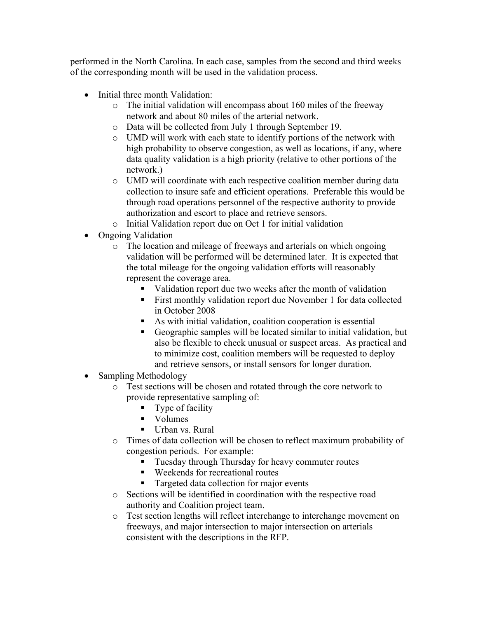performed in the North Carolina. In each case, samples from the second and third weeks of the corresponding month will be used in the validation process.

- Initial three month Validation:
	- o The initial validation will encompass about 160 miles of the freeway network and about 80 miles of the arterial network.
	- o Data will be collected from July 1 through September 19.
	- o UMD will work with each state to identify portions of the network with high probability to observe congestion, as well as locations, if any, where data quality validation is a high priority (relative to other portions of the network.)
	- o UMD will coordinate with each respective coalition member during data collection to insure safe and efficient operations. Preferable this would be through road operations personnel of the respective authority to provide authorization and escort to place and retrieve sensors.
	- o Initial Validation report due on Oct 1 for initial validation
- Ongoing Validation
	- o The location and mileage of freeways and arterials on which ongoing validation will be performed will be determined later. It is expected that the total mileage for the ongoing validation efforts will reasonably represent the coverage area.
		- validation report due two weeks after the month of validation
		- First monthly validation report due November 1 for data collected in October 2008
		- As with initial validation, coalition cooperation is essential
		- Geographic samples will be located similar to initial validation, but also be flexible to check unusual or suspect areas. As practical and to minimize cost, coalition members will be requested to deploy and retrieve sensors, or install sensors for longer duration.
- Sampling Methodology
	- o Test sections will be chosen and rotated through the core network to provide representative sampling of:
		- Type of facility
		- **v** Volumes
		- Urban vs. Rural
	- o Times of data collection will be chosen to reflect maximum probability of congestion periods. For example:
		- **Tuesday through Thursday for heavy commuter routes**
		- Weekends for recreational routes
		- **Targeted data collection for major events**
	- o Sections will be identified in coordination with the respective road authority and Coalition project team.
	- o Test section lengths will reflect interchange to interchange movement on freeways, and major intersection to major intersection on arterials consistent with the descriptions in the RFP.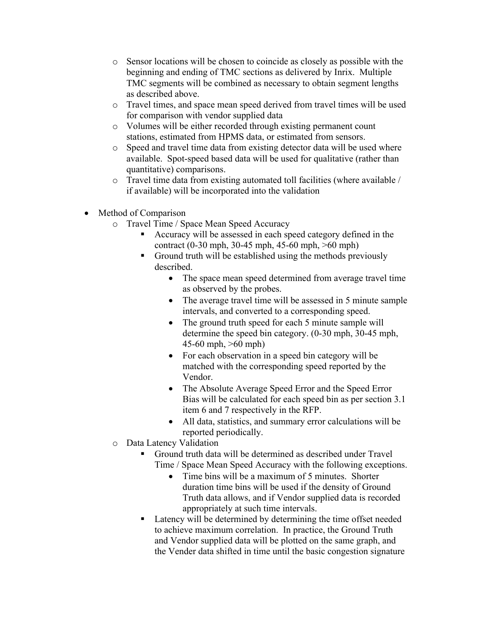- o Sensor locations will be chosen to coincide as closely as possible with the beginning and ending of TMC sections as delivered by Inrix. Multiple TMC segments will be combined as necessary to obtain segment lengths as described above.
- o Travel times, and space mean speed derived from travel times will be used for comparison with vendor supplied data
- o Volumes will be either recorded through existing permanent count stations, estimated from HPMS data, or estimated from sensors.
- o Speed and travel time data from existing detector data will be used where available. Spot-speed based data will be used for qualitative (rather than quantitative) comparisons.
- o Travel time data from existing automated toll facilities (where available / if available) will be incorporated into the validation
- Method of Comparison
	- o Travel Time / Space Mean Speed Accuracy
		- Accuracy will be assessed in each speed category defined in the contract (0-30 mph, 30-45 mph, 45-60 mph, >60 mph)
		- Ground truth will be established using the methods previously described.
			- The space mean speed determined from average travel time as observed by the probes.
			- The average travel time will be assessed in 5 minute sample intervals, and converted to a corresponding speed.
			- The ground truth speed for each 5 minute sample will determine the speed bin category. (0-30 mph, 30-45 mph, 45-60 mph, >60 mph)
			- For each observation in a speed bin category will be matched with the corresponding speed reported by the Vendor.
			- The Absolute Average Speed Error and the Speed Error Bias will be calculated for each speed bin as per section 3.1 item 6 and 7 respectively in the RFP.
			- All data, statistics, and summary error calculations will be reported periodically.
	- o Data Latency Validation
		- Ground truth data will be determined as described under Travel Time / Space Mean Speed Accuracy with the following exceptions.
			- Time bins will be a maximum of 5 minutes. Shorter duration time bins will be used if the density of Ground Truth data allows, and if Vendor supplied data is recorded appropriately at such time intervals.
		- Latency will be determined by determining the time offset needed to achieve maximum correlation. In practice, the Ground Truth and Vendor supplied data will be plotted on the same graph, and the Vender data shifted in time until the basic congestion signature